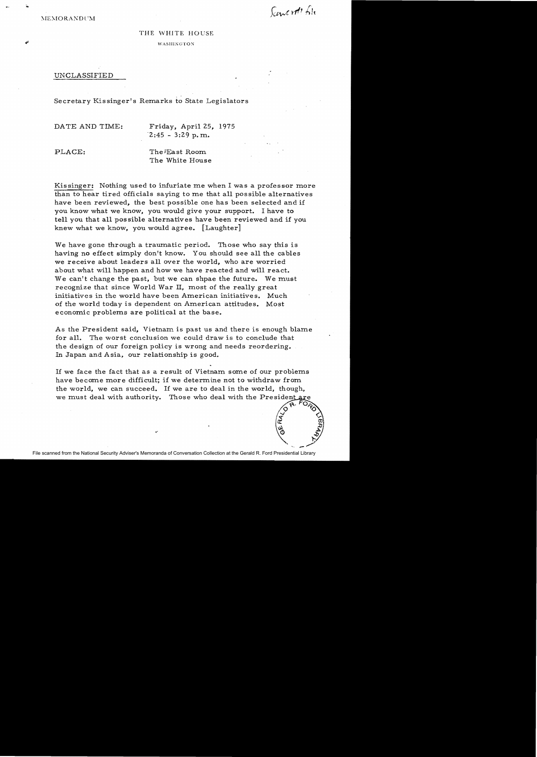Sancrott Sh

 $A \cdot L$ 0 $\%$  $\circ$   $\circ$  $\tilde{\mathcal{C}}$   $\sim$ a: OJ \*\* 33

## THE WHITE HOUSE

WASHINGTON

## UNCLASSIFIED

## Secretary Kissinger's Remarks to State Legislators

DATE AND TIME: Friday, April 25, 1975  $2:45 - 3:29$  p.m.

PLACE: The FLast Room The White House

Kissinger: Nothing used to infuriate me when I was a professor more than to hear tired officials saying to me that all possible alternatives have been reviewed, the best possible one has been selected and if you know what we know, you would give your support. I have to tell you that all possible alternatives have been reviewed and if you knew what we know, you would agree. [Laughter]

We have gone through a traumatic period. Those who say this is having no effect simply don't know. You should see all the cables we receive about leaders all over the world, who are worried about what will happen and how we have reacted and will react. We can't change the past, but we can shpae the future. We must recognize that since World War II, most of the really great initiatives in the world have been American initiatives. Much of the world today is dependent on American attitudes. Most economic problems are political at the base.

As the President said, Vietnam is past us and there is enough blame for all. The worst conclusion we could draw is to conclude that the design of our foreign policy is wrong and needs reordering. In Japan and Asia, our relationship is good.

If we face the fact that as a result of Vietnam some of our problems have become more difficult; if we determine not to withdraw from the world, we can succeed. If we are to deal in the world, though, we must deal with authority. Those who deal with the President are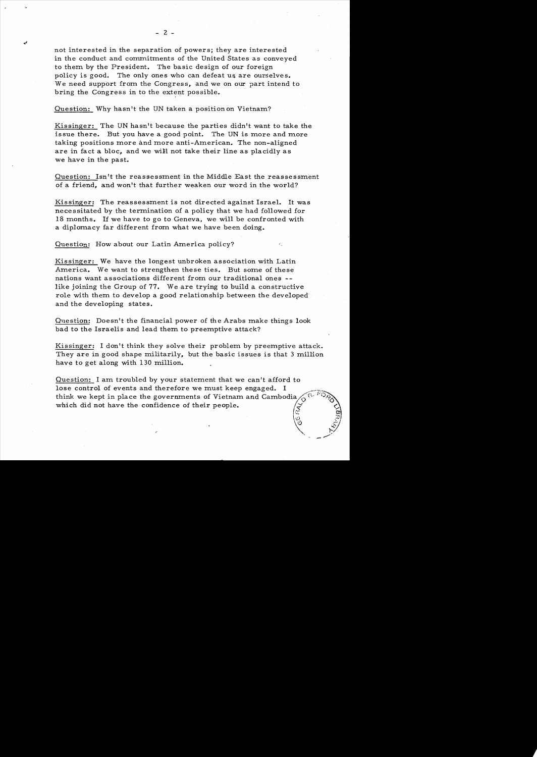not interested in the separation of powers; they are interested in the conduct and commitments of the United States as conveyed to them by the President. The basic design of our foreign policy is good. The only ones who can defeat us are ourselves. We need support from the Congress, and we on our part intend to bring the Congress in to the extent possible.

Question: Why hasn't the UN taken a position on Vietnam?

Kissinger: The UN hasn't because the parties didn't want to take the issue there. But you have a good point. The UN is more and more taking positions more and more anti-American. The non-aligned are in fact a bloc, and we will not take their line as placidly as we have in the past.

Question: Isn't the reassessment in the Middle East the reassessment of a friend, and won't that further weaken our word in the world?

Kissinger: The reassessment is not directed against Israel. It was necessitated by the termination of a policy that we had followed for 18 months. If we have to go to Geneva, we will be confronted with a diplomacy far different from what we have been doing.

Question: How about our Latin America policy?

Kissinger: We have the longest unbroken association with Latin America. We want to strengthen these ties. But some of these nations want associations different from our traditional ones like joining the Group of 77. We are trying to build a constructive role with them to develop a good relationship between the developed and the developing states.

Question: Doesn't the financial power of the Arabs make things look bad to the Israelis and lead them to preemptive attack?

Kissinger: I don't think they solve their problem by preemptive attack. They are in good shape militarily, but the basic issues is that 3 million have to get along with 130 million.

Question: I am troubled by your statement that we can't afford to Question: I am troubled by your statement that we can't afford to<br>lose control of events and therefore we must keep engaged. I<br>think we kent in place the governments of Victnam and Cambedia think we kept in place the governments of Vietnam and Cambodia, which did not have the confidence of their people. r~'..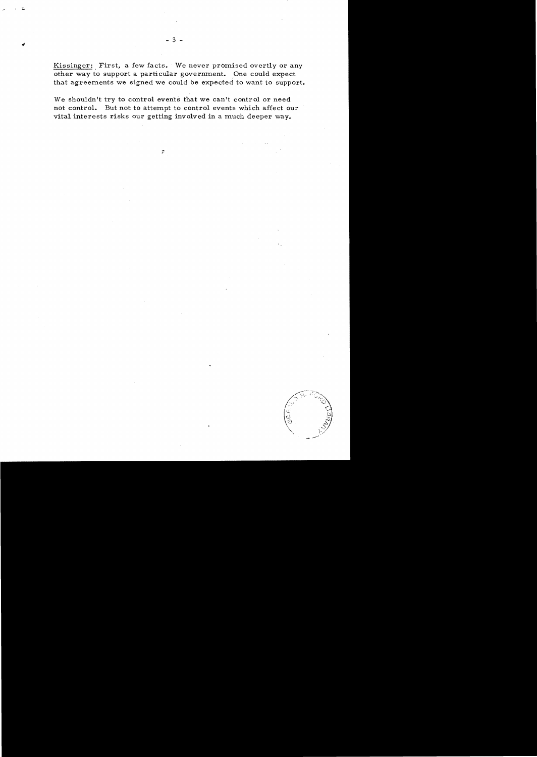Kissinger: First, a few facts. We never promised overtly or any other way to support a particular government. One could expect that agreements we signed we could be expected to want to support.

We shouldn't try to control events that we can't control or need not control. But not to attempt to control events which affect our vital interests risks our getting involved in a much deeper way.

 $\hat{\tau}$ 

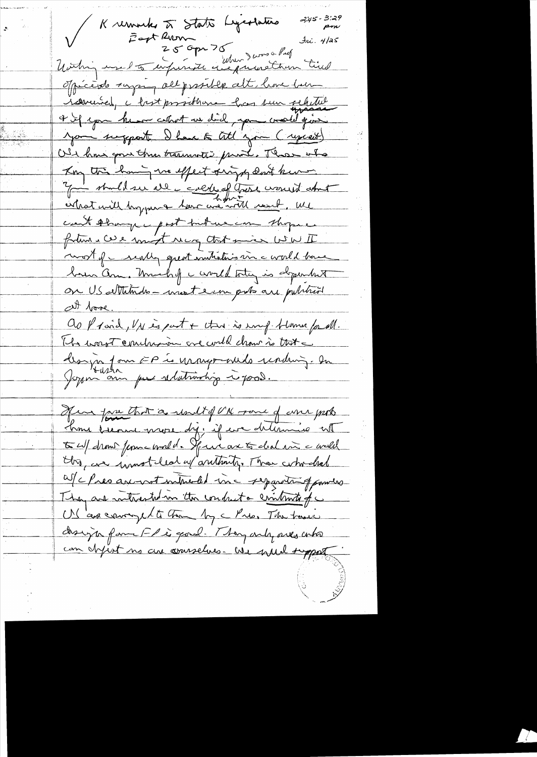Kremarks à State Legeslation 3.45-3. 2:45 - 3:29<br>rm  $\mathcal{A}$ ni. 4/25 officiale saying all probable alt, have been remement, c bast prosible las sur selected 4 if you he are cettent un did , you would give you suggest I have to till you (syssett) Old hour gone than transmatic print. Those who Kon this having we effect virge don't know y in the de collect of these would about count thanger past but us can thope in fatura cue mixt neg trit miss wow II most of concernating execution in a world have bain am. Much of a world total is dependent on US attitudes - most ein pots are publicit att boose. as provid, Un espat + this is emp-trame for all. Its wast combinaire créarell chour à trit a design form EP is urongo-ouds reading. In Her fare that a result of UK raine of anne ports home because more dy. if we delive it to w/ drown from - would. Spence are to chal in a well the are innoteled of authority. These who chool afches are not introducted inc separating powers They are mitrested in the conduct a criteria of c UN cap couraged to the My a Pres The town design fam Fleigad. They only sues who can definit no are courselves. We wild support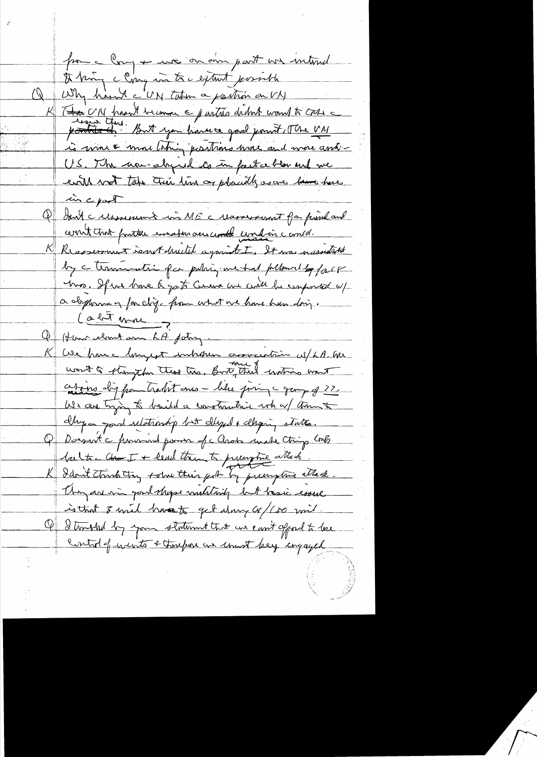pour a long + une on aim part un internel A troin cloire in the extent possible K T<del>hai</del> UN frant bremon & parties didn't would to trace is more & more thing positions were and were assti-US. The war-alogued to in particular and we evitt wat take their time or pleasedly as are have have in c part Q duit calaminut in ME calconisment for print and cernit that pointer incertain and continue and in correct. Reasserment sout druited against I. It was nursestable by a termination for pulsis me had pllaned by force Mrs. If we have a got Cereva we will be conformed up a deprenay for diz. from what are home hun doing. (obt mm Q Hann cloud au LA potry.<br>K Cele hour Mongest inchosen association es/ LA. Gu want a Kington these tres, But, that waters want ating dig from tradent ones - the join - gamp of 22. We care trying to bailed a construction when thement chapa good relationship but cleaped & clapsing states. Q Dorsait à province pour de Clara mate trip Crete Saite des IX lead than to prenytive attack. K Idon't think they tothe their got by prangeme attack. They are min possibly multiply but basic course is that I will broat get day of (so mil. Of I troubled by your statement that we can't of not to love Control of wents + thoughou are unwit bey ingaged